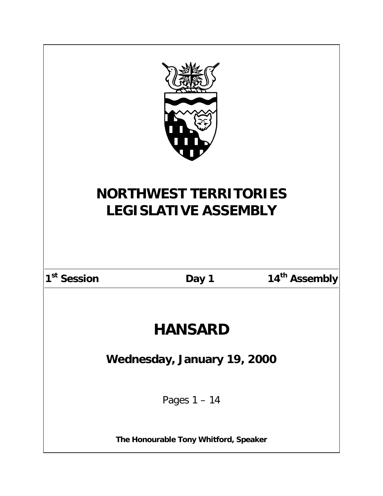| <b>NORTHWEST TERRITORIES</b><br><b>LEGISLATIVE ASSEMBLY</b> |       |                           |  |
|-------------------------------------------------------------|-------|---------------------------|--|
| 1 <sup>st</sup> Session                                     | Day 1 | 14 <sup>th</sup> Assembly |  |
| <b>HANSARD</b>                                              |       |                           |  |
| Wednesday, January 19, 2000                                 |       |                           |  |
| Pages $1 - 14$                                              |       |                           |  |
| The Honourable Tony Whitford, Speaker                       |       |                           |  |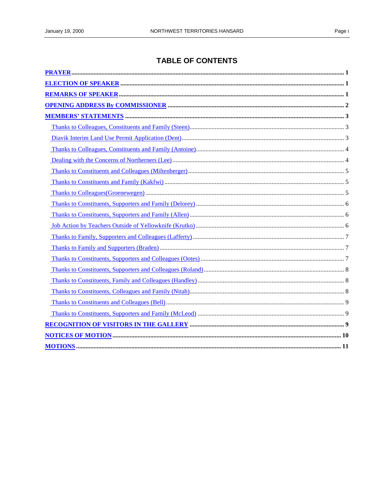# **TABLE OF CONTENTS**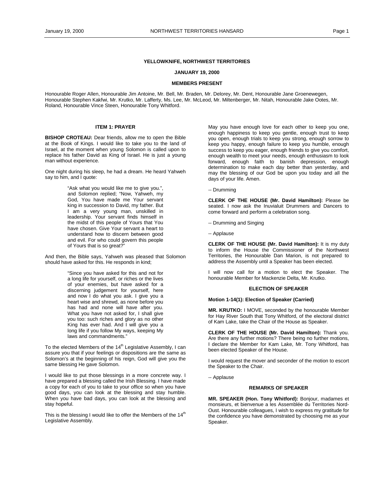# **YELLOWKNIFE, NORTHWEST TERRITORIES**

### **JANUARY 19, 2000**

# **MEMBERS PRESENT**

<span id="page-4-0"></span>Honourable Roger Allen, Honourable Jim Antoine, Mr. Bell, Mr. Braden, Mr. Delorey, Mr. Dent, Honourable Jane Groenewegen, Honourable Stephen Kakfwi, Mr. Krutko, Mr. Lafferty, Ms. Lee, Mr. McLeod, Mr. Miltenberger, Mr. Nitah, Honourable Jake Ootes, Mr. Roland, Honourable Vince Steen, Honourable Tony Whitford.

# **ITEM 1: PRAYER**

**BISHOP CROTEAU:** Dear friends, allow me to open the Bible at the Book of Kings. I would like to take you to the land of Israel, at the moment when young Solomon is called upon to replace his father David as King of Israel. He is just a young man without experience.

One night during his sleep, he had a dream. He heard Yahweh say to him, and I quote:

> "Ask what you would like me to give you.", and Solomon replied; "Now, Yahweh, my God, You have made me Your servant king in succession to David, my father. But I am a very young man, unskilled in leadership. Your servant finds himself in the midst of this people of Yours that You have chosen. Give Your servant a heart to understand how to discern between good and evil. For who could govern this people of Yours that is so great?"

And then, the Bible says, Yahweh was pleased that Solomon should have asked for this. He responds in kind;

> "Since you have asked for this and not for a long life for yourself, or riches or the lives of your enemies, but have asked for a discerning judgement for yourself, here and now I do what you ask. I give you a heart wise and shrewd, as none before you has had and none will have after you. What you have not asked for, I shall give you too: such riches and glory as no other King has ever had. And I will give you a long life if you follow My ways, keeping My laws and commandments."

To the elected Members of the  $14<sup>th</sup>$  Legislative Assembly, I can assure you that if your feelings or dispositions are the same as Solomon's at the beginning of his reign, God will give you the same blessing He gave Solomon.

I would like to put those blessings in a more concrete way. I have prepared a blessing called the Irish Blessing. I have made a copy for each of you to take to your office so when you have good days, you can look at the blessing and stay humble. When you have bad days, you can look at the blessing and stay hopeful.

This is the blessing I would like to offer the Members of the  $14<sup>th</sup>$ Legislative Assembly.

May you have enough love for each other to keep you one, enough happiness to keep you gentle, enough trust to keep you open, enough trials to keep you strong, enough sorrow to keep you happy, enough failure to keep you humble, enough success to keep you eager, enough friends to give you comfort, enough wealth to meet your needs, enough enthusiasm to look forward, enough faith to banish depression, enough determination to make each day better than yesterday, and may the blessing of our God be upon you today and all the days of your life. Amen.

-- Drumming

**CLERK OF THE HOUSE (Mr. David Hamilton):** Please be seated. I now ask the Inuvialuit Drummers and Dancers to come forward and perform a celebration song.

- -- Drumming and Singing
- -- Applause

**CLERK OF THE HOUSE (Mr. David Hamilton):** It is my duty to inform the House the Commissioner of the Northwest Territories, the Honourable Dan Marion, is not prepared to address the Assembly until a Speaker has been elected.

I will now call for a motion to elect the Speaker. The honourable Member for Mackenzie Delta, Mr. Krutko.

## **ELECTION OF SPEAKER**

## **Motion 1-14(1): Election of Speaker (Carried)**

**MR. KRUTKO:** I MOVE, seconded by the honourable Member for Hay River South that Tony Whitford, of the electoral district of Kam Lake, take the Chair of the House as Speaker.

**CLERK OF THE HOUSE (Mr. David Hamilton):** Thank you. Are there any further motions? There being no further motions, I declare the Member for Kam Lake, Mr. Tony Whitford, has been elected Speaker of the House.

I would request the mover and seconder of the motion to escort the Speaker to the Chair.

-- Applause

## **REMARKS OF SPEAKER**

**MR. SPEAKER (Hon. Tony Whitford):** Bonjour, madames et monsieurs, et bienvenue a les Assemblée du Territories Nord-Oust. Honourable colleagues, I wish to express my gratitude for the confidence you have demonstrated by choosing me as your Speaker.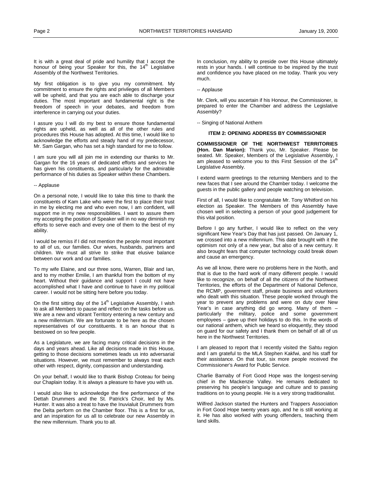<span id="page-5-0"></span>It is with a great deal of pride and humility that I accept the honour of being your Speaker for this, the  $14<sup>m</sup>$  Legislative Assembly of the Northwest Territories.

My first obligation is to give you my commitment. My commitment to ensure the rights and privileges of all Members will be upheld, and that you are each able to discharge your duties. The most important and fundamental right is the freedom of speech in your debates, and freedom from interference in carrying out your duties.

I assure you I will do my best to ensure those fundamental rights are upheld, as well as all of the other rules and procedures this House has adopted. At this time, I would like to acknowledge the efforts and steady hand of my predecessor, Mr. Sam Gargan, who has set a high standard for me to follow.

I am sure you will all join me in extending our thanks to Mr. Gargan for the 16 years of dedicated efforts and services he has given his constituents, and particularly for the admirable performance of his duties as Speaker within these Chambers.

## -- Applause

On a personal note, I would like to take this time to thank the constituents of Kam Lake who were the first to place their trust in me by electing me and who even now, I am confident, will support me in my new responsibilities. I want to assure them my accepting the position of Speaker will in no way diminish my efforts to serve each and every one of them to the best of my ability.

I would be remiss if I did not mention the people most important to all of us, our families. Our wives, husbands, partners and children. We must all strive to strike that elusive balance between our work and our families.

To my wife Elaine, and our three sons, Warren, Blair and Ian, and to my mother Emilie, I am thankful from the bottom of my heart. Without their guidance and support I could not have accomplished what I have and continue to have in my political career. I would not be sitting here before you today.

On the first sitting day of the 14<sup>th</sup> Legislative Assembly, I wish to ask all Members to pause and reflect on the tasks before us. We are a new and vibrant Territory entering a new century and a new millennium. We are fortunate to be here as the chosen representatives of our constituents. It is an honour that is bestowed on so few people.

As a Legislature, we are facing many critical decisions in the days and years ahead. Like all decisions made in this House, getting to those decisions sometimes leads us into adversarial situations. However, we must remember to always treat each other with respect, dignity, compassion and understanding.

On your behalf, I would like to thank Bishop Croteau for being our Chaplain today. It is always a pleasure to have you with us.

I would also like to acknowledge the fine performance of the Dettah Drummers and the St. Patrick's Choir, led by Ms. Hunter. It was also a treat to have the Inuvialuit Drummers from the Delta perform on the Chamber floor. This is a first for us, and an inspiration for us all to celebrate our new Assembly in the new millennium. Thank you to all.

In conclusion, my ability to preside over this House ultimately rests in your hands. I will continue to be inspired by the trust and confidence you have placed on me today. Thank you very much.

# -- Applause

Mr. Clerk, will you ascertain if his Honour, the Commissioner, is prepared to enter the Chamber and address the Legislative Assembly?

-- Singing of National Anthem

#### **ITEM 2: OPENING ADDRESS BY COMMISSIONER**

**COMMISSIONER OF THE NORTHWEST TERRITORIES (Hon. Dan Marion):** Thank you, Mr. Speaker. Please be seated. Mr. Speaker, Members of the Legislative Assembly, I am pleased to welcome you to this First Session of the 14<sup>th</sup> Legislative Assembly.

I extend warm greetings to the returning Members and to the new faces that I see around the Chamber today. I welcome the guests in the public gallery and people watching on television.

First of all, I would like to congratulate Mr. Tony Whitford on his election as Speaker. The Members of this Assembly have chosen well in selecting a person of your good judgement for this vital position.

Before I go any further, I would like to reflect on the very significant New Year's Day that has just passed. On January 1, we crossed into a new millennium. This date brought with it the optimism not only of a new year, but also of a new century. It also brought fears that computer technology could break down and cause an emergency.

As we all know, there were no problems here in the North, and that is due to the hard work of many different people. I would like to recognize, on behalf of all the citizens of the Northwest Territories, the efforts of the Department of National Defence, the RCMP, government staff, private business and volunteers who dealt with this situation. These people worked through the year to prevent any problems and were on duty over New Year's in case anything did go wrong. Many of them – particularly the military, police and some government employees – gave up their holidays to do this. In the words of our national anthem, which we heard so eloquently, they stood on guard for our safety and I thank them on behalf of all of us here in the Northwest Territories.

I am pleased to report that I recently visited the Sahtu region and I am grateful to the MLA Stephen Kakfwi, and his staff for their assistance. On that tour, six more people received the Commissioner's Award for Public Service.

Charlie Barnaby of Fort Good Hope was the longest-serving chief in the Mackenzie Valley. He remains dedicated to preserving his people's language and culture and to passing traditions on to young people. He is a very strong traditionalist.

Wilfred Jackson started the Hunters and Trappers Association in Fort Good Hope twenty years ago, and he is still working at it. He has also worked with young offenders, teaching them land skills.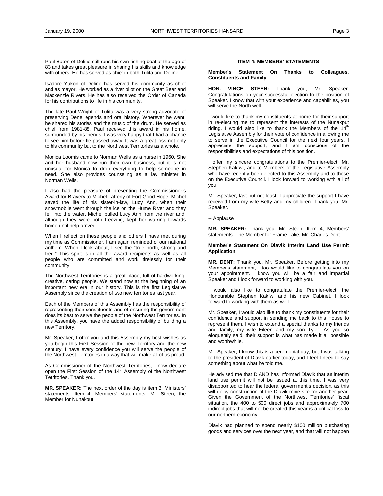<span id="page-6-0"></span>Paul Baton of Deline still runs his own fishing boat at the age of 83 and takes great pleasure in sharing his skills and knowledge with others. He has served as chief in both Tulita and Deline.

Isadore Yukon of Deline has served his community as chief and as mayor. He worked as a river pilot on the Great Bear and Mackenzie Rivers. He has also received the Order of Canada for his contributions to life in his community.

The late Paul Wright of Tulita was a very strong advocate of preserving Dene legends and oral history. Wherever he went, he shared his stories and the music of the drum. He served as chief from 1981-88. Paul received this award in his home, surrounded by his friends. I was very happy that I had a chance to see him before he passed away. It was a great loss not only to his community but to the Northwest Territories as a whole.

Monica Loomis came to Norman Wells as a nurse in 1960. She and her husband now run their own business, but it is not unusual for Monica to drop everything to help someone in need. She also provides counseling as a lay minister in Norman Wells.

I also had the pleasure of presenting the Commissioner's Award for Bravery to Michel Lafferty of Fort Good Hope. Michel saved the life of his sister-in-law, Lucy Ann, when their snowmobile went through the ice on the Hume River and they fell into the water. Michel pulled Lucy Ann from the river and, although they were both freezing, kept her walking towards home until help arrived.

When I reflect on these people and others I have met during my time as Commissioner, I am again reminded of our national anthem. When I look about, I see the "true north, strong and free." This spirit is in all the award recipients as well as all people who are committed and work tirelessly for their community.

The Northwest Territories is a great place, full of hardworking, creative, caring people. We stand now at the beginning of an important new era in our history. This is the first Legislative Assembly since the creation of two new territories last year.

Each of the Members of this Assembly has the responsibility of representing their constituents and of ensuring the government does its best to serve the people of the Northwest Territories. In this Assembly, you have the added responsibility of building a new Territory.

Mr. Speaker, I offer you and this Assembly my best wishes as you begin this First Session of the new Territory and the new century. I have every confidence you will serve the people of the Northwest Territories in a way that will make all of us proud.

As Commissioner of the Northwest Territories, I now declare open the First Session of the 14<sup>th</sup> Assembly of the Northwest Territories. Thank you.

**MR. SPEAKER:** The next order of the day is item 3, Ministers' statements. Item 4, Members' statements. Mr. Steen, the Member for Nunakput.

# **ITEM 4: MEMBERS' STATEMENTS**

**Member's Statement On Thanks to Colleagues, Constituents and Family** 

**HON. VINCE STEEN:** Thank you, Mr. Speaker. Congratulations on your successful election to the position of Speaker. I know that with your experience and capabilities, you will serve the North well.

I would like to thank my constituents at home for their support in re-electing me to represent the interests of the Nunakput riding. I would also like to thank the Members of the  $14<sup>th</sup>$ Legislative Assembly for their vote of confidence in allowing me to serve in the Executive Council for the next four years. I appreciate the support, and I am conscious of the responsibilities and expectations of this position.

I offer my sincere congratulations to the Premier-elect, Mr. Stephen Kakfwi, and to Members of the Legislative Assembly who have recently been elected to this Assembly and to those on the Executive Council. I look forward to working with all of you.

Mr. Speaker, last but not least, I appreciate the support I have received from my wife Betty and my children. Thank you, Mr. Speaker.

#### -- Applause

**MR. SPEAKER:** Thank you, Mr. Steen. Item 4, Members' statements. The Member for Frame Lake, Mr. Charles Dent.

## **Member's Statement On Diavik Interim Land Use Permit Application**

**MR. DENT:** Thank you, Mr. Speaker. Before getting into my Member's statement, I too would like to congratulate you on your appointment. I know you will be a fair and impartial Speaker and I look forward to working with you.

I would also like to congratulate the Premier-elect, the Honourable Stephen Kakfwi and his new Cabinet. I look forward to working with them as well.

Mr. Speaker, I would also like to thank my constituents for their confidence and support in sending me back to this House to represent them. I wish to extend a special thanks to my friends and family, my wife Eileen and my son Tyler. As you so eloquently said, their support is what has made it all possible and worthwhile.

Mr. Speaker, I know this is a ceremonial day, but I was talking to the president of Diavik earlier today, and I feel I need to say something about what he told me.

He advised me that DIAND has informed Diavik that an interim land use permit will not be issued at this time. I was very disappointed to hear the federal government's decision, as this will delay construction of the Diavik mine site for another year. Given the Government of the Northwest Territories' fiscal situation, the 400 to 500 direct jobs and approximately 700 indirect jobs that will not be created this year is a critical loss to our northern economy.

Diavik had planned to spend nearly \$100 million purchasing goods and services over the next year, and that will not happen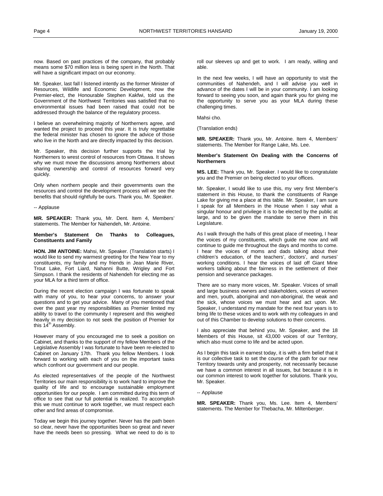<span id="page-7-0"></span>now. Based on past practices of the company, that probably means some \$70 million less is being spent in the North. That will have a significant impact on our economy.

Mr. Speaker, last fall I listened intently as the former Minister of Resources, Wildlife and Economic Development, now the Premier-elect, the Honourable Stephen Kakfwi, told us the Government of the Northwest Territories was satisfied that no environmental issues had been raised that could not be addressed through the balance of the regulatory process.

I believe an overwhelming majority of Northerners agree, and wanted the project to proceed this year. It is truly regrettable the federal minister has chosen to ignore the advice of those who live in the North and are directly impacted by this decision.

Mr. Speaker, this decision further supports the trial by Northerners to wrest control of resources from Ottawa. It shows why we must move the discussions among Northerners about sharing ownership and control of resources forward very quickly.

Only when northern people and their governments own the resources and control the development process will we see the benefits that should rightfully be ours. Thank you, Mr. Speaker.

#### -- Applause

**MR. SPEAKER:** Thank you, Mr. Dent. Item 4, Members' statements. The Member for Nahendeh, Mr. Antoine.

## **Member's Statement On Thanks to Colleagues, Constituents and Family**

**HON. JIM ANTOINE:** Mahsi, Mr. Speaker. (Translation starts) I would like to send my warmest greeting for the New Year to my constituents, my family and my friends in Jean Marie River, Trout Lake, Fort Liard, Nahanni Butte, Wrigley and Fort Simpson. I thank the residents of Nahendeh for electing me as your MLA for a third term of office.

During the recent election campaign I was fortunate to speak with many of you, to hear your concerns, to answer your questions and to get your advice. Many of you mentioned that over the past year my responsibilities as Premier limited my ability to travel to the community I represent and this weighed heavily in my decision to not seek the position of Premier for this  $14<sup>th</sup>$  Assembly.

However many of you encouraged me to seek a position on Cabinet, and thanks to the support of my fellow Members of the Legislative Assembly I was fortunate to have been re-elected to Cabinet on January 17th. Thank you fellow Members. I look forward to working with each of you on the important tasks which confront our government and our people.

As elected representatives of the people of the Northwest Territories our main responsibility is to work hard to improve the quality of life and to encourage sustainable employment opportunities for our people. I am committed during this term of office to see that our full potential is realized. To accomplish this we must continue to work together, we must respect each other and find areas of compromise.

Today we begin this journey together. Never has the path been so clear, never have the opportunities been so great and never have the needs been so pressing. What we need to do is to

roll our sleeves up and get to work. I am ready, willing and able.

In the next few weeks, I will have an opportunity to visit the communities of Nahendeh, and I will advise you well in advance of the dates I will be in your community. I am looking forward to seeing you soon, and again thank you for giving me the opportunity to serve you as your MLA during these challenging times.

Mahsi cho.

(Translation ends)

**MR. SPEAKER:** Thank you, Mr. Antoine. Item 4, Members' statements. The Member for Range Lake, Ms. Lee.

## **Member's Statement On Dealing with the Concerns of Northerners (Lee)**

**MS. LEE:** Thank you, Mr. Speaker. I would like to congratulate you and the Premier on being elected to your offices.

Mr. Speaker, I would like to use this, my very first Member's statement in this House, to thank the constituents of Range Lake for giving me a place at this table. Mr. Speaker, I am sure I speak for all Members in the House when I say what a singular honour and privilege it is to be elected by the public at large, and to be given the mandate to serve them in this Legislature.

As I walk through the halls of this great place of meeting, I hear the voices of my constituents, which guide me now and will continue to guide me throughout the days and months to come. I hear the voices of moms and dads talking about their children's education, of the teachers', doctors', and nurses' working conditions. I hear the voices of laid off Giant Mine workers talking about the fairness in the settlement of their pension and severance packages.

There are so many more voices, Mr. Speaker. Voices of small and large business owners and stakeholders, voices of women and men, youth, aboriginal and non-aboriginal, the weak and the sick, whose voices we must hear and act upon. Mr. Speaker, I understand my mandate for the next four years is to bring life to these voices and to work with my colleagues in and out of this Chamber to develop solutions to their concerns.

I also appreciate that behind you, Mr. Speaker, and the 18 Members of this House, sit 43,000 voices of our Territory, which also must come to life and be acted upon.

As I begin this task in earnest today, it is with a firm belief that it is our collective task to set the course of the path for our new Territory towards unity and prosperity, not necessarily because we have a common interest in all issues, but because it is in our common interest to work together for solutions. Thank you, Mr. Speaker.

# -- Applause

**MR. SPEAKER:** Thank you, Ms. Lee. Item 4, Members' statements. The Member for Thebacha, Mr. Miltenberger.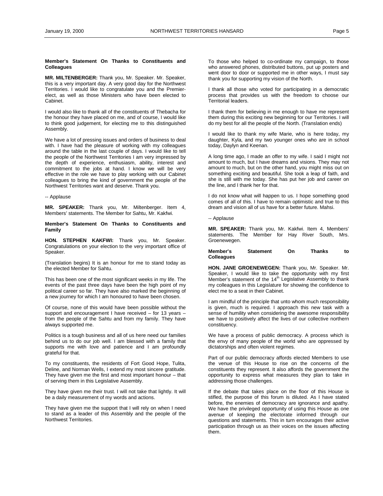# <span id="page-8-0"></span>**Member's Statement On Thanks to Constituents and Colleagues**

**MR. MILTENBERGER:** Thank you, Mr. Speaker. Mr. Speaker, this is a very important day. A very good day for the Northwest Territories. I would like to congratulate you and the Premierelect, as well as those Ministers who have been elected to Cabinet.

I would also like to thank all of the constituents of Thebacha for the honour they have placed on me, and of course, I would like to think good judgement, for electing me to this distinguished Assembly.

We have a lot of pressing issues and orders of business to deal with. I have had the pleasure of working with my colleagues around the table in the last couple of days. I would like to tell the people of the Northwest Territories I am very impressed by the depth of experience, enthusiasm, ability, interest and commitment to the jobs at hand. I know we will be very effective in the role we have to play working with our Cabinet colleagues to bring the kind of government the people of the Northwest Territories want and deserve. Thank you.

#### -- Applause

**MR. SPEAKER:** Thank you, Mr. Miltenberger. Item 4, Members' statements. The Member for Sahtu, Mr. Kakfwi.

**Member's Statement On Thanks to Constituents and Family** 

**HON. STEPHEN KAKFWI:** Thank you, Mr. Speaker. Congratulations on your election to the very important office of Speaker.

(Translation begins) It is an honour for me to stand today as the elected Member for Sahtu.

This has been one of the most significant weeks in my life. The events of the past three days have been the high point of my political career so far. They have also marked the beginning of a new journey for which I am honoured to have been chosen.

Of course, none of this would have been possible without the support and encouragement I have received – for 13 years – from the people of the Sahtu and from my family. They have always supported me.

Politics is a tough business and all of us here need our families behind us to do our job well. I am blessed with a family that supports me with love and patience and I am profoundly grateful for that.

To my constituents, the residents of Fort Good Hope, Tulita, Deline, and Norman Wells, I extend my most sincere gratitude. They have given me the first and most important honour – that of serving them in this Legislative Assembly.

They have given me their trust. I will not take that lightly. It will be a daily measurement of my words and actions.

They have given me the support that I will rely on when I need to stand as a leader of this Assembly and the people of the Northwest Territories.

To those who helped to co-ordinate my campaign, to those who answered phones, distributed buttons, put up posters and went door to door or supported me in other ways, I must say thank you for supporting my vision of the North.

I thank all those who voted for participating in a democratic process that provides us with the freedom to choose our Territorial leaders.

I thank them for believing in me enough to have me represent them during this exciting new beginning for our Territories. I will do my best for all the people of the North. (Translation ends)

I would like to thank my wife Marie, who is here today, my daughter, Kyla, and my two younger ones who are in school today, Daylyn and Keenan.

A long time ago, I made an offer to my wife. I said I might not amount to much, but I have dreams and visions. They may not amount to much, but on the other hand, you might miss out on something exciting and beautiful. She took a leap of faith, and she is still with me today. She has put her job and career on the line, and I thank her for that.

I do not know what will happen to us. I hope something good comes of all of this. I have to remain optimistic and true to this dream and vision all of us have for a better future. Mahsi.

-- Applause

**MR. SPEAKER:** Thank you, Mr. Kakfwi. Item 4, Members' statements. The Member for Hay River South, Mrs. Groenewegen.

## **Member's Statement On Thanks to Colleagues**

**HON. JANE GROENEWEGEN:** Thank you, Mr. Speaker. Mr. Speaker, I would like to take the opportunity with my first Member's statement of the  $14<sup>th</sup>$  Legislative Assembly to thank my colleagues in this Legislature for showing the confidence to elect me to a seat in their Cabinet.

I am mindful of the principle that unto whom much responsibility is given, much is required. I approach this new task with a sense of humility when considering the awesome responsibility we have to positively affect the lives of our collective northern constituency.

We have a process of public democracy. A process which is the envy of many people of the world who are oppressed by dictatorships and often violent regimes.

Part of our public democracy affords elected Members to use the venue of this House to rise on the concerns of the constituents they represent. It also affords the government the opportunity to express what measures they plan to take in addressing those challenges.

If the debate that takes place on the floor of this House is stifled, the purpose of this forum is diluted. As I have stated before, the enemies of democracy are ignorance and apathy. We have the privileged opportunity of using this House as one avenue of keeping the electorate informed through our questions and statements. This in turn encourages their active participation through us as their voices on the issues affecting them.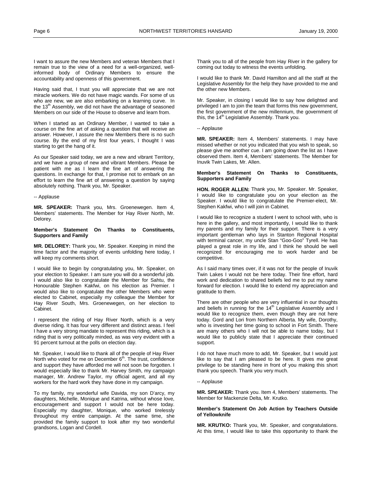<span id="page-9-0"></span>I want to assure the new Members and veteran Members that I remain true to the view of a need for a well-organized, wellinformed body of Ordinary Members to ensure the accountability and openness of this government.

Having said that, I trust you will appreciate that we are not miracle workers. We do not have magic wands. For some of us who are new, we are also embarking on a learning curve. In the 13<sup>th</sup> Assembly, we did not have the advantage of seasoned Members on our side of the House to observe and learn from.

When I started as an Ordinary Member, I wanted to take a course on the fine art of asking a question that will receive an answer. However, I assure the new Members there is no such course. By the end of my first four years, I thought I was starting to get the hang of it.

As our Speaker said today, we are a new and vibrant Territory, and we have a group of new and vibrant Members. Please be patient with me as I learn the fine art of answering the questions. In exchange for that, I promise not to embark on an effort to learn the fine art of answering a question by saying absolutely nothing. Thank you, Mr. Speaker.

#### -- Applause

**MR. SPEAKER:** Thank you, Mrs. Groenewegen. Item 4, Members' statements. The Member for Hay River North, Mr. Delorey.

# **Member's Statement On Thanks to Constituents, Supporters and Family**

**MR. DELOREY:** Thank you, Mr. Speaker. Keeping in mind the time factor and the majority of events unfolding here today, I will keep my comments short.

I would like to begin by congratulating you, Mr. Speaker, on your election to Speaker. I am sure you will do a wonderful job. I would also like to congratulate the Member for Sahtu, the Honourable Stephen Kakfwi, on his election as Premier. I would also like to congratulate the other Members who were elected to Cabinet, especially my colleague the Member for Hay River South, Mrs. Groenewegen, on her election to Cabinet.

I represent the riding of Hay River North, which is a very diverse riding. It has four very different and distinct areas. I feel I have a very strong mandate to represent this riding, which is a riding that is very politically minded, as was very evident with a 91 percent turnout at the polls on election day.

Mr. Speaker, I would like to thank all of the people of Hay River North who voted for me on December 6<sup>th</sup>. The trust, confidence and support they have afforded me will not soon be forgotten. I would especially like to thank Mr. Harvey Smith, my campaign manager, Mr. Andrew Taylor, my official agent, and all my workers for the hard work they have done in my campaign.

To my family, my wonderful wife Davida, my son D'arcy, my daughters, Michelle, Monique and Katrina, without whose love, encouragement and support I would not be here today. Especially my daughter, Monique, who worked tirelessly throughout my entire campaign. At the same time, she provided the family support to look after my two wonderful grandsons, Logan and Cordell.

Thank you to all of the people from Hay River in the gallery for coming out today to witness the events unfolding.

I would like to thank Mr. David Hamilton and all the staff at the Legislative Assembly for the help they have provided to me and the other new Members.

Mr. Speaker, in closing I would like to say how delighted and privileged I am to join the team that forms this new government, the first government of the new millennium, the government of this, the 14<sup>th</sup> Legislative Assembly. Thank you.

-- Applause

**MR. SPEAKER:** Item 4, Members' statements. I may have missed whether or not you indicated that you wish to speak, so please give me another cue. I am going down the list as I have observed them. Item 4, Members' statements. The Member for Inuvik Twin Lakes, Mr. Allen.

#### **Member's Statement On Thanks to Constituents, Supporters and Family**

**HON. ROGER ALLEN:** Thank you, Mr. Speaker. Mr. Speaker, I would like to congratulate you on your election as the Speaker. I would like to congratulate the Premier-elect, Mr. Stephen Kakfwi, who I will join in Cabinet.

I would like to recognize a student I went to school with, who is here in the gallery, and most importantly, I would like to thank my parents and my family for their support. There is a very important gentleman who lays in Stanton Regional Hospital with terminal cancer, my uncle Stan "Goo-Goo" Tyrell. He has played a great role in my life, and I think he should be well recognized for encouraging me to work harder and be competitive.

As I said many times over, if it was not for the people of Inuvik Twin Lakes I would not be here today. Their fine effort, hard work and dedication to shared beliefs led me to put my name forward for election. I would like to extend my appreciation and gratitude to them.

There are other people who are very influential in our thoughts and beliefs in running for the 14<sup>th</sup> Legislative Assembly and I would like to recognize them, even though they are not here today. Gord and Lori from Northern Alberta. My wife, Dorothy, who is investing her time going to school in Fort Smith. There are many others who I will not be able to name today, but I would like to publicly state that I appreciate their continued support.

I do not have much more to add, Mr. Speaker, but I would just like to say that I am pleased to be here. It gives me great privilege to be standing here in front of you making this short thank you speech. Thank you very much.

#### -- Applause

**MR. SPEAKER:** Thank you. Item 4, Members' statements. The Member for Mackenzie Delta, Mr. Krutko.

## **Member's Statement On Job Action by Teachers Outside of Yellowknife**

**MR. KRUTKO:** Thank you, Mr. Speaker, and congratulations. At this time, I would like to take this opportunity to thank the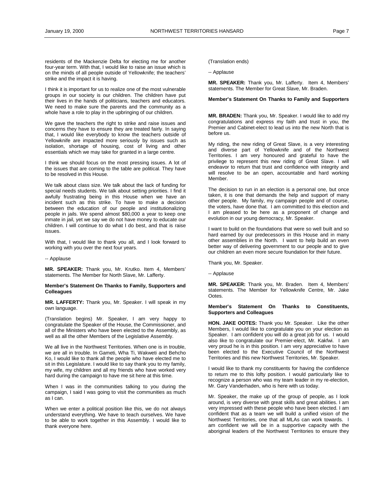<span id="page-10-0"></span>residents of the Mackenzie Delta for electing me for another four-year term. With that, I would like to raise an issue which is on the minds of all people outside of Yellowknife; the teachers' strike and the impact it is having.

I think it is important for us to realize one of the most vulnerable groups in our society is our children. The children have put their lives in the hands of politicians, teachers and educators. We need to make sure the parents and the community as a whole have a role to play in the upbringing of our children.

We gave the teachers the right to strike and raise issues and concerns they have to ensure they are treated fairly. In saying that, I would like everybody to know the teachers outside of Yellowknife are impacted more seriously by issues such as isolation, shortage of housing, cost of living and other essentials which we may take for granted in a large centre.

I think we should focus on the most pressing issues. A lot of the issues that are coming to the table are political. They have to be resolved in this House.

We talk about class size. We talk about the lack of funding for special needs students. We talk about setting priorities. I find it awfully frustrating being in this House when we have an incident such as this strike. To have to make a decision between the education of our people and institutionalizing people in jails. We spend almost \$80,000 a year to keep one inmate in jail, yet we say we do not have money to educate our children. I will continue to do what I do best, and that is raise issues.

With that, I would like to thank you all, and I look forward to working with you over the next four years.

-- Applause

**MR. SPEAKER:** Thank you, Mr. Krutko. Item 4, Members' statements. The Member for North Slave, Mr. Lafferty.

# **Member's Statement On Thanks to Family, Supporters and Colleagues (Lafferty)**

**MR. LAFFERTY:** Thank you, Mr. Speaker. I will speak in my own language.

(Translation begins) Mr. Speaker, I am very happy to congratulate the Speaker of the House, the Commissioner, and all of the Ministers who have been elected to the Assembly, as well as all the other Members of the Legislative Assembly.

We all live in the Northwest Territories. When one is in trouble, we are all in trouble. In Gameti, Wha Ti, Wakweti and Behcho Ko, I would like to thank all the people who have elected me to sit in this Legislature. I would like to say thank you to my family, my wife, my children and all my friends who have worked very hard during the campaign to have me sit here at this time.

When I was in the communities talking to you during the campaign, I said I was going to visit the communities as much as I can.

When we enter a political position like this, we do not always understand everything. We have to teach ourselves. We have to be able to work together in this Assembly. I would like to thank everyone here.

(Translation ends)

-- Applause

**MR. SPEAKER:** Thank you, Mr. Lafferty. Item 4, Members' statements. The Member for Great Slave, Mr. Braden.

# **Member's Statement On Thanks to Family and Supporters**

**MR. BRADEN:** Thank you, Mr. Speaker. I would like to add my congratulations and express my faith and trust in you, the Premier and Cabinet-elect to lead us into the new North that is before us.

My riding, the new riding of Great Slave, is a very interesting and diverse part of Yellowknife and of the Northwest Territories. I am very honoured and grateful to have the privilege to represent this new riding of Great Slave. I will endeavor to return that trust and confidence with integrity and will resolve to be an open, accountable and hard working Member.

The decision to run in an election is a personal one, but once taken, it is one that demands the help and support of many other people. My family, my campaign people and of course, the voters, have done that. I am committed to this election and I am pleased to be here as a proponent of change and evolution in our young democracy, Mr. Speaker.

I want to build on the foundations that were so well built and so hard earned by our predecessors in this House and in many other assemblies in the North. I want to help build an even better way of delivering government to our people and to give our children an even more secure foundation for their future.

Thank you, Mr. Speaker.

-- Applause

**MR. SPEAKER:** Thank you, Mr. Braden. Item 4, Members' statements. The Member for Yellowknife Centre, Mr. Jake Ootes.

# **Member's Statement On Thanks to Constituents, Supporters and Colleagues**

**HON. JAKE OOTES:** Thank you Mr. Speaker. Like the other Members, I would like to congratulate you on your election as Speaker. I am confident you will do a great job for us. I would also like to congratulate our Premier-elect, Mr. Kakfwi. I am very proud he is in this position. I am very appreciative to have been elected to the Executive Council of the Northwest Territories and this new Northwest Territories, Mr. Speaker.

I would like to thank my constituents for having the confidence to return me to this lofty position. I would particularly like to recognize a person who was my team leader in my re-election, Mr. Gary Vanderhaden, who is here with us today.

Mr. Speaker, the make up of the group of people, as I look around, is very diverse with great skills and great abilities. I am very impressed with these people who have been elected. I am confident that as a team we will build a unified vision of the Northwest Territories, one that all MLAs can work towards. I am confident we will be in a supportive capacity with the aboriginal leaders of the Northwest Territories to ensure they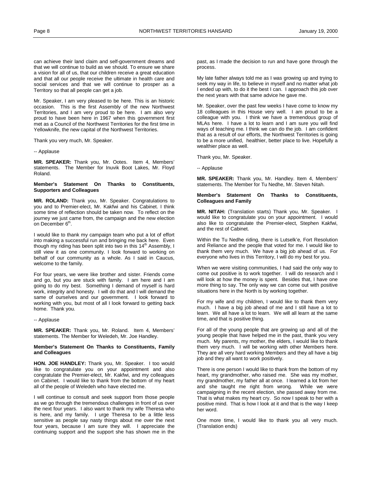<span id="page-11-0"></span>can achieve their land claim and self-government dreams and that we will continue to build as we should. To ensure we share a vision for all of us, that our children receive a great education and that all our people receive the ultimate in health care and social services and that we will continue to prosper as a Territory so that all people can get a job.

Mr. Speaker, I am very pleased to be here. This is an historic occasion. This is the first Assembly of the new Northwest Territories, and I am very proud to be here. I am also very proud to have been here in 1967 when this government first met as a Council of the Northwest Territories for the first time in Yellowknife, the new capital of the Northwest Territories.

Thank you very much, Mr. Speaker.

-- Applause

**MR. SPEAKER:** Thank you, Mr. Ootes. Item 4, Members' statements. The Member for Inuvik Boot Lakes, Mr. Floyd Roland.

# **Member's Statement On Thanks to Constituents, Supporters and Colleagues**

**MR. ROLAND:** Thank you, Mr. Speaker. Congratulations to you and to Premier-elect, Mr. Kakfwi and his Cabinet. I think some time of reflection should be taken now. To reflect on the journey we just came from, the campaign and the new election on December 6<sup>th</sup>.

I would like to thank my campaign team who put a lot of effort into making a successful run and bringing me back here. Even though my riding has been split into two in this  $14<sup>th</sup>$  Assembly, I still view it as one community. I look forward to working on behalf of our community as a whole. As I said in Caucus, welcome to the family.

For four years, we were like brother and sister. Friends come and go, but you are stuck with family. I am here and I am going to do my best. Something I demand of myself is hard work, integrity and honesty. I will do that and I will demand the same of ourselves and our government. I look forward to working with you, but most of all I look forward to getting back home. Thank you.

-- Applause

**MR. SPEAKER:** Thank you, Mr. Roland. Item 4, Members' statements. The Member for Weledeh, Mr. Joe Handley.

# **Member's Statement On Thanks to Constituents, Family** and Colleagues

**HON. JOE HANDLEY:** Thank you, Mr. Speaker. I too would like to congratulate you on your appointment and also congratulate the Premier-elect, Mr. Kakfwi, and my colleagues on Cabinet. I would like to thank from the bottom of my heart all of the people of Weledeh who have elected me.

I will continue to consult and seek support from those people as we go through the tremendous challenges in front of us over the next four years. I also want to thank my wife Theresa who is here, and my family. I urge Theresa to be a little less sensitive as people say nasty things about me over the next four years, because I am sure they will. I appreciate the continuing support and the support she has shown me in the

past, as I made the decision to run and have gone through the process.

My late father always told me as I was growing up and trying to seek my way in life, to believe in myself and no matter what job I ended up with, to do it the best I can. I approach this job over the next years with that same advice he gave me.

Mr. Speaker, over the past few weeks I have come to know my 18 colleagues in this House very well. I am proud to be a colleague with you. I think we have a tremendous group of MLAs here. I have a lot to learn and I am sure you will find ways of teaching me. I think we can do the job. I am confident that as a result of our efforts, the Northwest Territories is going to be a more unified, healthier, better place to live. Hopefully a wealthier place as well.

Thank you, Mr. Speaker.

-- Applause

**MR. SPEAKER:** Thank you, Mr. Handley. Item 4, Members' statements. The Member for Tu Nedhe, Mr. Steven Nitah.

## **Member's Statement On Thanks to Constituents, Colleagues and Family**

**MR. NITAH:** (Translation starts) Thank you, Mr. Speaker. I would like to congratulate you on your appointment. I would also like to congratulate the Premier-elect, Stephen Kakfwi, and the rest of Cabinet.

Within the Tu Nedhe riding, there is Lutselk'e, Fort Resolution and Reliance and the people that voted for me. I would like to thank them very much. We have a big job ahead of us. For everyone who lives in this Territory, I will do my best for you.

When we were visiting communities, I had said the only way to come out positive is to work together. I will do research and I will look at how the money is spent. Besides that, I have one more thing to say. The only way we can come out with positive situations here in the North is by working together.

For my wife and my children, I would like to thank them very much. I have a big job ahead of me and I still have a lot to learn. We all have a lot to learn. We will all learn at the same time, and that is positive thing.

For all of the young people that are growing up and all of the young people that have helped me in the past, thank you very much. My parents, my mother, the elders, I would like to thank them very much. I will be working with other Members here. They are all very hard working Members and they all have a big job and they all want to work positively.

There is one person I would like to thank from the bottom of my heart, my grandmother, who raised me. She was my mother, my grandmother, my father all at once. I learned a lot from her and she taught me right from wrong. While we were campaigning in the recent election, she passed away from me. That is what makes my heart cry. So now I speak to her with a positive mind. That is how I look at it and that is the way I keep her word.

One more time, I would like to thank you all very much. (Translation ends)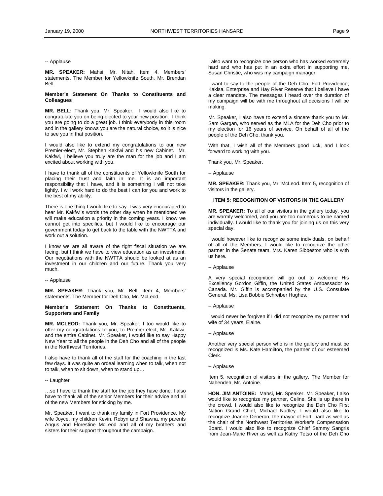#### <span id="page-12-0"></span>-- Applause

**MR. SPEAKER:** Mahsi, Mr. Nitah. Item 4, Members' statements. The Member for Yellowknife South, Mr. Brendan Bell.

## **Member's Statement On Thanks to Constituents and Colleagues**

**MR. BELL:** Thank you, Mr. Speaker. I would also like to congratulate you on being elected to your new position. I think you are going to do a great job. I think everybody in this room and in the gallery knows you are the natural choice, so it is nice to see you in that position.

I would also like to extend my congratulations to our new Premier-elect, Mr. Stephen Kakfwi and his new Cabinet. Mr. Kakfwi, I believe you truly are the man for the job and I am excited about working with you.

I have to thank all of the constituents of Yellowknife South for placing their trust and faith in me. It is an important responsibility that I have, and it is something I will not take lightly. I will work hard to do the best I can for you and work to the best of my ability.

There is one thing I would like to say. I was very encouraged to hear Mr. Kakfwi's words the other day when he mentioned we will make education a priority in the coming years. I know we cannot get into specifics, but I would like to encourage our government today to get back to the table with the NWTTA and work out a solution.

I know we are all aware of the tight fiscal situation we are facing, but I think we have to view education as an investment. Our negotiations with the NWTTA should be looked at as an investment in our children and our future. Thank you very much.

## -- Applause

**MR. SPEAKER:** Thank you, Mr. Bell. Item 4, Members' statements. The Member for Deh Cho, Mr. McLeod.

## **Member's Statement On Thanks to Constituents, Supporters and Family**

**MR. MCLEOD:** Thank you, Mr. Speaker. I too would like to offer my congratulations to you, to Premier-elect, Mr. Kakfwi, and the entire Cabinet. Mr. Speaker, I would like to say Happy New Year to all the people in the Deh Cho and all of the people in the Northwest Territories.

I also have to thank all of the staff for the coaching in the last few days. It was quite an ordeal learning when to talk, when not to talk, when to sit down, when to stand up…

#### -- Laughter

…so I have to thank the staff for the job they have done. I also have to thank all of the senior Members for their advice and all of the new Members for sticking by me.

Mr. Speaker, I want to thank my family in Fort Providence. My wife Joyce, my children Kevin, Robyn and Shawna, my parents Angus and Florestine McLeod and all of my brothers and sisters for their support throughout the campaign.

I also want to recognize one person who has worked extremely hard and who has put in an extra effort in supporting me, Susan Christie, who was my campaign manager.

I want to say to the people of the Deh Cho; Fort Providence, Kakisa, Enterprise and Hay River Reserve that I believe I have a clear mandate. The messages I heard over the duration of my campaign will be with me throughout all decisions I will be making.

Mr. Speaker, I also have to extend a sincere thank you to Mr. Sam Gargan, who served as the MLA for the Deh Cho prior to my election for 16 years of service. On behalf of all of the people of the Deh Cho, thank you.

With that, I wish all of the Members good luck, and I look forward to working with you.

Thank you, Mr. Speaker.

-- Applause

**MR. SPEAKER:** Thank you, Mr. McLeod. Item 5, recognition of visitors in the gallery.

# **ITEM 5: RECOGNITION OF VISITORS IN THE GALLERY**

**MR. SPEAKER:** To all of our visitors in the gallery today, you are warmly welcomed, and you are too numerous to be named individually. I would like to thank you for joining us on this very special day.

I would however like to recognize some individuals, on behalf of all of the Members. I would like to recognize the other partner in the Senate team, Mrs. Karen Sibbeston who is with us here.

-- Applause

A very special recognition will go out to welcome His Excellency Gordon Giffin, the United States Ambassador to Canada. Mr. Giffin is accompanied by the U.S. Consulate General, Ms. Lisa Bobbie Schreiber Hughes.

-- Applause

I would never be forgiven if I did not recognize my partner and wife of 34 years, Elaine.

-- Applause

Another very special person who is in the gallery and must be recognized is Ms. Kate Hamilton, the partner of our esteemed Clerk.

-- Applause

Item 5, recognition of visitors in the gallery. The Member for Nahendeh, Mr. Antoine.

**HON. JIM ANTOINE:** Mahsi, Mr. Speaker. Mr. Speaker, I also would like to recognize my partner, Celine. She is up there in the crowd. I would also like to recognize the Deh Cho First Nation Grand Chief, Michael Nadley. I would also like to recognize Joanne Deneron, the mayor of Fort Liard as well as the chair of the Northwest Territories Worker's Compensation Board. I would also like to recognize Chief Sammy Sangris from Jean-Marie River as well as Kathy Tetso of the Deh Cho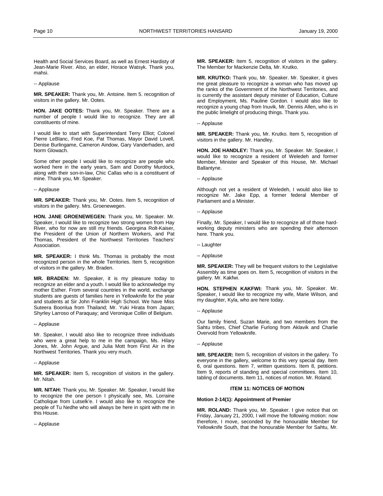<span id="page-13-0"></span>Health and Social Services Board, as well as Ernest Hardisty of Jean-Marie River. Also, an elder, Horace Watsyk. Thank you, mahsi.

-- Applause

**MR. SPEAKER:** Thank you, Mr. Antoine. Item 5. recognition of visitors in the gallery. Mr. Ootes.

**HON. JAKE OOTES:** Thank you, Mr. Speaker. There are a number of people I would like to recognize. They are all constituents of mine.

I would like to start with Superintendant Terry Elliot; Colonel Pierre LeBlanc, Fred Koe, Pat Thomas, Mayor David Lovell, Denise Burlingame, Cameron Aindow, Gary Vanderhaden, and Norm Glowach.

Some other people I would like to recognize are people who worked here in the early years, Sam and Dorothy Murdock, along with their son-in-law, Chic Callas who is a constituent of mine. Thank you, Mr. Speaker.

#### -- Applause

**MR. SPEAKER:** Thank you, Mr. Ootes. Item 5, recognition of visitors in the gallery. Mrs. Groenewegen.

**HON. JANE GROENEWEGEN:** Thank you, Mr. Speaker. Mr. Speaker, I would like to recognize two strong women from Hay River, who for now are still my friends. Georgina Rolt-Kaiser, the President of the Union of Northern Workers, and Pat Thomas, President of the Northwest Territories Teachers' Association.

**MR. SPEAKER:** I think Ms. Thomas is probably the most recognized person in the whole Territories. Item 5, recognition of visitors in the gallery. Mr. Braden.

**MR. BRADEN:** Mr. Speaker, it is my pleasure today to recognize an elder and a youth. I would like to acknowledge my mother Esther. From several countries in the world, exchange students are guests of families here in Yellowknife for the year and students at Sir John Franklin High School. We have Miss Suteera Boonlua from Thailand; Mr. Yuki Hirata from Japan; Shyrley Larroso of Paraquay; and Veronique Collin of Belgium.

-- Applause

Mr. Speaker, I would also like to recognize three individuals who were a great help to me in the campaign, Ms. Hilary Jones, Mr. John Argue, and Julia Mott from First Air in the Northwest Territories. Thank you very much.

-- Applause

**MR. SPEAKER:** Item 5, recognition of visitors in the gallery. Mr. Nitah.

**MR. NITAH:** Thank you, Mr. Speaker. Mr. Speaker, I would like to recognize the one person I physically see, Ms. Lorraine Catholique from Lutselk'e. I would also like to recognize the people of Tu Nedhe who will always be here in spirit with me in this House.

-- Applause

**MR. SPEAKER:** Item 5, recognition of visitors in the gallery. The Member for Mackenzie Delta, Mr. Krutko.

**MR. KRUTKO:** Thank you, Mr. Speaker. Mr. Speaker, it gives me great pleasure to recognize a woman who has moved up the ranks of the Government of the Northwest Territories, and is currently the assistant deputy minister of Education, Culture and Employment, Ms. Pauline Gordon. I would also like to recognize a young chap from Inuvik, Mr. Dennis Allen, who is in the public limelight of producing things. Thank you.

-- Applause

**MR. SPEAKER:** Thank you, Mr. Krutko. Item 5, recognition of visitors in the gallery. Mr. Handley.

**HON. JOE HANDLEY:** Thank you, Mr. Speaker. Mr. Speaker, I would like to recognize a resident of Weledeh and former Member, Minister and Speaker of this House, Mr. Michael Ballantyne.

-- Applause

Although not yet a resident of Weledeh, I would also like to recognize Mr. Jake Epp, a former federal Member of Parliament and a Minister.

-- Applause

Finally, Mr. Speaker, I would like to recognize all of those hardworking deputy ministers who are spending their afternoon here. Thank you.

-- Laughter

**MR. SPEAKER:** They will be frequent visitors to the Legislative Assembly as time goes on. Item 5, recognition of visitors in the gallery. Mr. Kakfwi.

**HON. STEPHEN KAKFWI:** Thank you, Mr. Speaker. Mr. Speaker, I would like to recognize my wife, Marie Wilson, and my daughter, Kyla, who are here today.

-- Applause

Our family friend, Suzan Marie, and two members from the Sahtu tribes, Chief Charlie Furlong from Aklavik and Charlie Overvold from Yellowknife.

-- Applause

**MR. SPEAKER:** Item 5, recognition of visitors in the gallery. To everyone in the gallery, welcome to this very special day. Item 6, oral questions. Item 7, written questions. Item 8, petitions. Item 9, reports of standing and special committees. Item 10, tabling of documents. Item 11, notices of motion. Mr. Roland.

# **ITEM 11: NOTICES OF MOTION**

### **Motion 2-14(1): Appointment of Premier**

**MR. ROLAND:** Thank you, Mr. Speaker. I give notice that on Friday, January 21, 2000, I will move the following motion: now therefore, I move, seconded by the honourable Member for Yellowknife South, that the honourable Member for Sahtu, Mr.

<sup>--</sup> Applause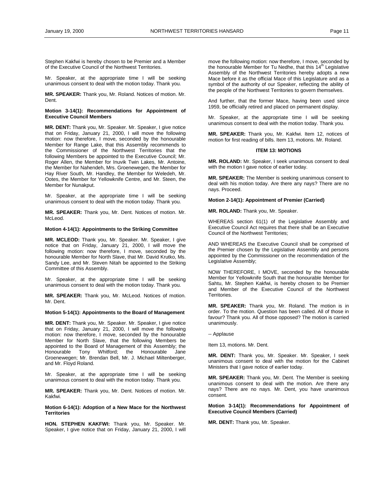<span id="page-14-0"></span>Stephen Kakfwi is hereby chosen to be Premier and a Member of the Executive Council of the Northwest Territories.

Mr. Speaker, at the appropriate time I will be seeking unanimous consent to deal with the motion today. Thank you.

**MR. SPEAKER:** Thank you, Mr. Roland. Notices of motion. Mr. Dent.

## **Motion 3-14(1): Recommendations for Appointment of Executive Council Members**

**MR. DENT:** Thank you, Mr. Speaker. Mr. Speaker, I give notice that on Friday, January 21, 2000, I will move the following motion: now therefore, I move, seconded by the honourable Member for Range Lake, that this Assembly recommends to the Commissioner of the Northwest Territories that the following Members be appointed to the Executive Council; Mr. Roger Allen, the Member for Inuvik Twin Lakes, Mr. Antoine, the Member for Nahendeh, Mrs. Groenewegen, the Member for Hay River South, Mr. Handley, the Member for Weledeh, Mr. Ootes, the Member for Yellowknife Centre, and Mr. Steen, the Member for Nunakput.

Mr. Speaker, at the appropriate time I will be seeking unanimous consent to deal with the motion today. Thank you.

**MR. SPEAKER:** Thank you, Mr. Dent. Notices of motion. Mr. McLeod.

#### **Motion 4-14(1): Appointments to the Striking Committee**

**MR. MCLEOD:** Thank you, Mr. Speaker. Mr. Speaker, I give notice that on Friday, January 21, 2000, I will move the following motion: now therefore, I move, seconded by the honourable Member for North Slave, that Mr. David Krutko, Ms. Sandy Lee, and Mr. Steven Nitah be appointed to the Striking Committee of this Assembly.

Mr. Speaker, at the appropriate time I will be seeking unanimous consent to deal with the motion today. Thank you.

**MR. SPEAKER:** Thank you, Mr. McLeod. Notices of motion. Mr. Dent.

#### **Motion 5-14(1): Appointments to the Board of Management**

**MR. DENT:** Thank you, Mr. Speaker. Mr. Speaker, I give notice that on Friday, January 21, 2000, I will move the following motion: now therefore, I move, seconded by the honourable Member for North Slave, that the following Members be appointed to the Board of Management of this Assembly; the Honourable Tony Whitford; the Honourable Jane Groenewegen; Mr. Brendan Bell, Mr. J. Michael Miltenberger, and Mr. Floyd Roland.

Mr. Speaker, at the appropriate time I will be seeking unanimous consent to deal with the motion today. Thank you.

**MR. SPEAKER:** Thank you, Mr. Dent. Notices of motion. Mr. Kakfwi.

### **Motion 6-14(1): Adoption of a New Mace for the Northwest Territories**

**HON. STEPHEN KAKFWI:** Thank you, Mr. Speaker. Mr. Speaker, I give notice that on Friday, January 21, 2000, I will move the following motion: now therefore, I move, seconded by the honourable Member for Tu Nedhe, that this  $14<sup>m</sup>$  Legislative Assembly of the Northwest Territories hereby adopts a new Mace before it as the official Mace of this Legislature and as a symbol of the authority of our Speaker, reflecting the ability of the people of the Northwest Territories to govern themselves.

And further, that the former Mace, having been used since 1959, be officially retired and placed on permanent display.

Mr. Speaker, at the appropriate time I will be seeking unanimous consent to deal with the motion today. Thank you.

**MR. SPEAKER:** Thank you, Mr. Kakfwi. Item 12, notices of motion for first reading of bills. Item 13, motions. Mr. Roland.

# **ITEM 13: MOTIONS**

**MR. ROLAND:** Mr. Speaker, I seek unanimous consent to deal with the motion I gave notice of earlier today.

**MR. SPEAKER:** The Member is seeking unanimous consent to deal with his motion today. Are there any nays? There are no nays. Proceed.

## **Motion 2-14(1): Appointment of Premier (Carried)**

**MR. ROLAND:** Thank you, Mr. Speaker.

WHEREAS section 61(1) of the Legislative Assembly and Executive Council Act requires that there shall be an Executive Council of the Northwest Territories;

AND WHEREAS the Executive Council shall be comprised of the Premier chosen by the Legislative Assembly and persons appointed by the Commissioner on the recommendation of the Legislative Assembly;

NOW THEREFORE, I MOVE, seconded by the honourable Member for Yellowknife South that the honourable Member for Sahtu, Mr. Stephen Kakfwi, is hereby chosen to be Premier and Member of the Executive Council of the Northwest Territories.

**MR. SPEAKER:** Thank you, Mr. Roland. The motion is in order. To the motion. Question has been called. All of those in favour? Thank you. All of those opposed? The motion is carried unanimously.

-- Applause

Item 13, motions. Mr. Dent.

**MR. DENT:** Thank you, Mr. Speaker. Mr. Speaker, I seek unanimous consent to deal with the motion for the Cabinet Ministers that I gave notice of earlier today.

**MR. SPEAKER:** Thank you, Mr. Dent. The Member is seeking unanimous consent to deal with the motion. Are there any nays? There are no nays. Mr. Dent, you have unanimous consent.

# **Motion 3-14(1): Recommendations for Appointment of Executive Council Members (Carried)**

**MR. DENT:** Thank you, Mr. Speaker.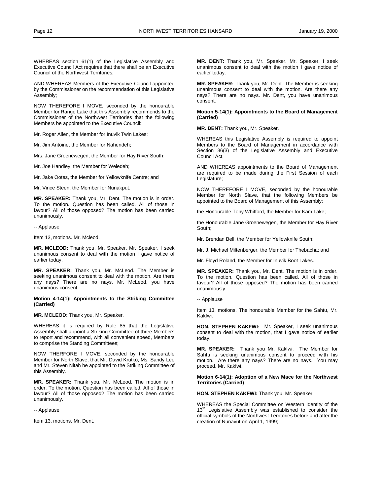WHEREAS section 61(1) of the Legislative Assembly and Executive Council Act requires that there shall be an Executive Council of the Northwest Territories;

AND WHEREAS Members of the Executive Council appointed by the Commissioner on the recommendation of this Legislative Assembly;

NOW THEREFORE I MOVE, seconded by the honourable Member for Range Lake that this Assembly recommends to the Commissioner of the Northwest Territories that the following Members be appointed to the Executive Council:

Mr. Roger Allen, the Member for Inuvik Twin Lakes;

Mr. Jim Antoine, the Member for Nahendeh;

Mrs. Jane Groenewegen, the Member for Hay River South;

Mr. Joe Handley, the Member for Weledeh;

Mr. Jake Ootes, the Member for Yellowknife Centre; and

Mr. Vince Steen, the Member for Nunakput.

**MR. SPEAKER:** Thank you, Mr. Dent. The motion is in order. To the motion. Question has been called. All of those in favour? All of those opposed? The motion has been carried unanimously.

-- Applause

Item 13, motions. Mr. Mcleod.

**MR. MCLEOD:** Thank you, Mr. Speaker. Mr. Speaker, I seek unanimous consent to deal with the motion I gave notice of earlier today.

**MR. SPEAKER:** Thank you, Mr. McLeod. The Member is seeking unanimous consent to deal with the motion. Are there any nays? There are no nays. Mr. McLeod, you have unanimous consent.

## **Motion 4-14(1): Appointments to the Striking Committee (Carried)**

**MR. MCLEOD:** Thank you, Mr. Speaker.

WHEREAS it is required by Rule 85 that the Legislative Assembly shall appoint a Striking Committee of three Members to report and recommend, with all convenient speed, Members to comprise the Standing Committees;

NOW THERFORE I MOVE, seconded by the honourable Member for North Slave, that Mr. David Krutko, Ms. Sandy Lee and Mr. Steven Nitah be appointed to the Striking Committee of this Assembly.

**MR. SPEAKER:** Thank you, Mr. McLeod. The motion is in order. To the motion. Question has been called. All of those in favour? All of those opposed? The motion has been carried unanimously.

-- Applause

Item 13, motions. Mr. Dent.

**MR. DENT:** Thank you, Mr. Speaker. Mr. Speaker, I seek unanimous consent to deal with the motion I gave notice of earlier today.

**MR. SPEAKER:** Thank you, Mr. Dent. The Member is seeking unanimous consent to deal with the motion. Are there any nays? There are no nays. Mr. Dent, you have unanimous consent.

### **Motion 5-14(1): Appointments to the Board of Management (Carried)**

**MR. DENT:** Thank you, Mr. Speaker.

WHEREAS this Legislative Assembly is required to appoint Members to the Board of Management in accordance with Section 36(3) of the Legislative Assembly and Executive Council Act;

AND WHEREAS appointments to the Board of Management are required to be made during the First Session of each Legislature;

NOW THEREFORE I MOVE, seconded by the honourable Member for North Slave, that the following Members be appointed to the Board of Management of this Assembly:

the Honourable Tony Whitford, the Member for Kam Lake;

the Honourable Jane Groenewegen, the Member for Hay River South;

Mr. Brendan Bell, the Member for Yellowknife South;

Mr. J. Michael Miltenberger, the Member for Thebacha; and

Mr. Floyd Roland, the Member for Inuvik Boot Lakes.

**MR. SPEAKER:** Thank you, Mr. Dent. The motion is in order. To the motion. Question has been called. All of those in favour? All of those opposed? The motion has been carried unanimously.

Item 13, motions. The honourable Member for the Sahtu, Mr. Kakfwi.

**HON. STEPHEN KAKFWI:** Mr. Speaker, I seek unanimous consent to deal with the motion, that I gave notice of earlier today.

**MR. SPEAKER:** Thank you Mr. Kakfwi. The Member for Sahtu is seeking unanimous consent to proceed with his motion. Are there any nays? There are no nays. You may proceed, Mr. Kakfwi.

# **Motion 6-14(1): Adoption of a New Mace for the Northwest Territories (Carried)**

**HON. STEPHEN KAKFWI:** Thank you, Mr. Speaker.

WHEREAS the Special Committee on Western Identity of the 13<sup>th</sup> Legislative Assembly was established to consider the official symbols of the Northwest Territories before and after the creation of Nunavut on April 1, 1999;

<sup>--</sup> Applause